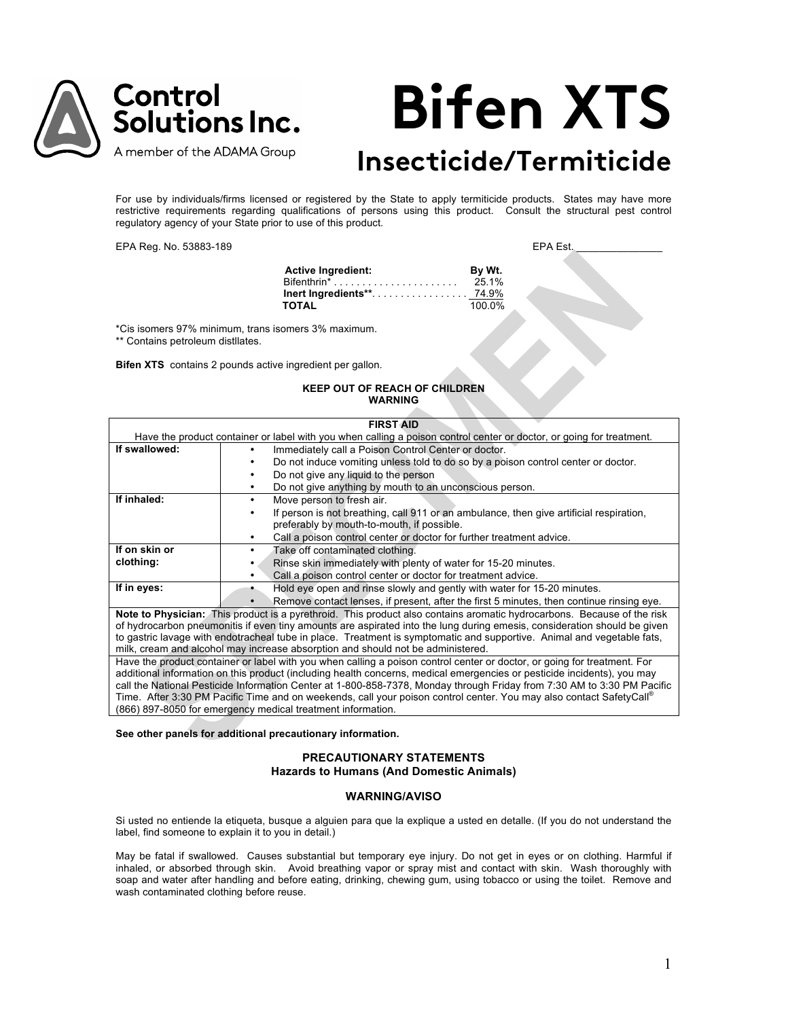

# **Bifen XTS**

# **Insecticide/Termiticide**

For use by individuals/firms licensed or registered by the State to apply termiticide products. States may have more restrictive requirements regarding qualifications of persons using this product. Consult the structural pest control regulatory agency of your State prior to use of this product.

EPA Reg. No. 53883-189 ext. and the state of the state of the EPA Est.

**Active Ingredient: By Wt.** Bifenthrin\* . . . . . . . . . . . . . . . . . . . . . . 25.1% **Inert Ingredients\*\***. . . . . . . . . . . . . . . . . <u>74.9%</u><br>TOTAL 100.0% **TOTAL** 

\*Cis isomers 97% minimum, trans isomers 3% maximum.

\*\* Contains petroleum distllates.

**Bifen XTS** contains 2 pounds active ingredient per gallon.

# **KEEP OUT OF REACH OF CHILDREN WARNING**

| <b>FIRST AID</b> |                                                                                                                          |  |  |
|------------------|--------------------------------------------------------------------------------------------------------------------------|--|--|
|                  | Have the product container or label with you when calling a poison control center or doctor, or going for treatment.     |  |  |
| If swallowed:    | Immediately call a Poison Control Center or doctor.                                                                      |  |  |
|                  | Do not induce vomiting unless told to do so by a poison control center or doctor.                                        |  |  |
|                  | Do not give any liquid to the person<br>٠                                                                                |  |  |
|                  | Do not give anything by mouth to an unconscious person.<br>٠                                                             |  |  |
| If inhaled:      | Move person to fresh air.<br>٠                                                                                           |  |  |
|                  | If person is not breathing, call 911 or an ambulance, then give artificial respiration,                                  |  |  |
|                  | preferably by mouth-to-mouth, if possible.                                                                               |  |  |
|                  | Call a poison control center or doctor for further treatment advice.                                                     |  |  |
| If on skin or    | Take off contaminated clothing.                                                                                          |  |  |
| clothing:        | Rinse skin immediately with plenty of water for 15-20 minutes.                                                           |  |  |
|                  | Call a poison control center or doctor for treatment advice.<br>٠                                                        |  |  |
| If in eyes:      | Hold eye open and rinse slowly and gently with water for 15-20 minutes.                                                  |  |  |
|                  | Remove contact lenses, if present, after the first 5 minutes, then continue rinsing eye.                                 |  |  |
|                  | Note to Physician: This product is a pyrethroid. This product also contains aromatic hydrocarbons. Because of the risk   |  |  |
|                  | of hydrocarbon pneumonitis if even tiny amounts are aspirated into the lung during emesis, consideration should be given |  |  |
|                  | to gastric lavage with endotracheal tube in place. Treatment is symptomatic and supportive. Animal and vegetable fats,   |  |  |
|                  | milk, cream and alcohol may increase absorption and should not be administered.                                          |  |  |
|                  | Have the product container or label with you when calling a poison control center or doctor, or going for treatment. For |  |  |
|                  | additional information on this product (including health concerns, medical emergencies or pesticide incidents), you may  |  |  |
|                  | call the National Pesticide Information Center at 1-800-858-7378, Monday through Friday from 7:30 AM to 3:30 PM Pacific  |  |  |
|                  | Time. After 3:30 PM Pacific Time and on weekends, call your poison control center. You may also contact SafetyCall®      |  |  |
|                  | (866) 897-8050 for emergency medical treatment information.                                                              |  |  |

**See other panels for additional precautionary information.**

# **PRECAUTIONARY STATEMENTS Hazards to Humans (And Domestic Animals)**

# **WARNING/AVISO**

Si usted no entiende la etiqueta, busque a alguien para que la explique a usted en detalle. (If you do not understand the label, find someone to explain it to you in detail.)

May be fatal if swallowed. Causes substantial but temporary eye injury. Do not get in eyes or on clothing. Harmful if inhaled, or absorbed through skin. Avoid breathing vapor or spray mist and contact with skin. Wash thoroughly with soap and water after handling and before eating, drinking, chewing gum, using tobacco or using the toilet. Remove and wash contaminated clothing before reuse.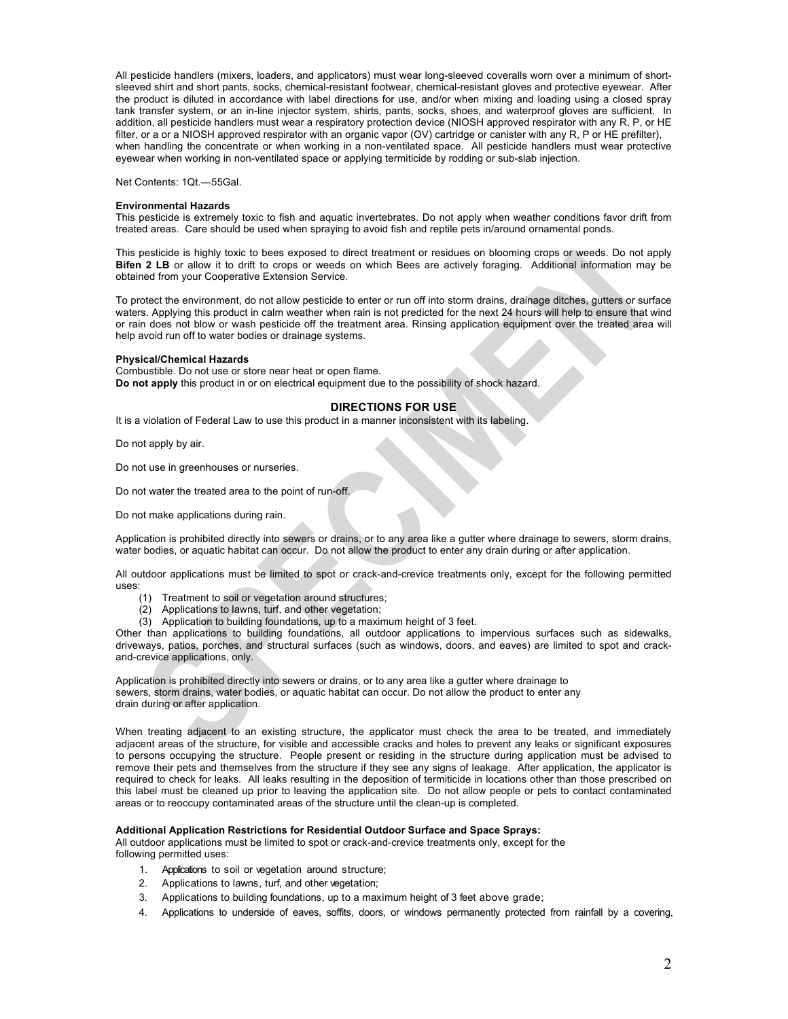All pesticide handlers (mixers, loaders, and applicators) must wear long-sleeved coveralls worn over a minimum of shortsleeved shirt and short pants, socks, chemical-resistant footwear, chemical-resistant gloves and protective eyewear. After the product is diluted in accordance with label directions for use, and/or when mixing and loading using a closed spray tank transfer system, or an in-line injector system, shirts, pants, socks, shoes, and waterproof gloves are sufficient. In addition, all pesticide handlers must wear a respiratory protection device (NIOSH approved respirator with any R, P, or HE filter, or a or a NIOSH approved respirator with an organic vapor (OV) cartridge or canister with any R, P or HE prefilter), when handling the concentrate or when working in a non-ventilated space. All pesticide handlers must wear protective eyewear when working in non-ventilated space or applying termiticide by rodding or sub-slab injection.

Net Contents: 1Qt.—55Gal.

#### **Environmental Hazards**

This pesticide is extremely toxic to fish and aquatic invertebrates. Do not apply when weather conditions favor drift from treated areas. Care should be used when spraying to avoid fish and reptile pets in/around ornamental ponds.

This pesticide is highly toxic to bees exposed to direct treatment or residues on blooming crops or weeds. Do not apply **Bifen 2 LB** or allow it to drift to crops or weeds on which Bees are actively foraging. Additional information may be obtained from your Cooperative Extension Service.

To protect the environment, do not allow pesticide to enter or run off into storm drains, drainage ditches, gutters or surface waters. Applying this product in calm weather when rain is not predicted for the next 24 hours will help to ensure that wind or rain does not blow or wash pesticide off the treatment area. Rinsing application equipment over the treated area will help avoid run off to water bodies or drainage systems.

#### **Physical/Chemical Hazards**

Combustible. Do not use or store near heat or open flame. **Do not apply** this product in or on electrical equipment due to the possibility of shock hazard.

#### **DIRECTIONS FOR USE**

It is a violation of Federal Law to use this product in a manner inconsistent with its labeling.

Do not apply by air.

Do not use in greenhouses or nurseries.

Do not water the treated area to the point of run-off.

Do not make applications during rain.

Application is prohibited directly into sewers or drains, or to any area like a gutter where drainage to sewers, storm drains, water bodies, or aquatic habitat can occur. Do not allow the product to enter any drain during or after application.

All outdoor applications must be limited to spot or crack-and-crevice treatments only, except for the following permitted uses:

- (1) Treatment to soil or vegetation around structures;
- (2) Applications to lawns, turf, and other vegetation;
- (3) Application to building foundations, up to a maximum height of 3 feet.

Other than applications to building foundations, all outdoor applications to impervious surfaces such as sidewalks, driveways, patios, porches, and structural surfaces (such as windows, doors, and eaves) are limited to spot and crackand-crevice applications, only.

Application is prohibited directly into sewers or drains, or to any area like a gutter where drainage to sewers, storm drains, water bodies, or aquatic habitat can occur. Do not allow the product to enter any drain during or after application.

When treating adjacent to an existing structure, the applicator must check the area to be treated, and immediately adjacent areas of the structure, for visible and accessible cracks and holes to prevent any leaks or significant exposures to persons occupying the structure. People present or residing in the structure during application must be advised to remove their pets and themselves from the structure if they see any signs of leakage. After application, the applicator is required to check for leaks. All leaks resulting in the deposition of termiticide in locations other than those prescribed on this label must be cleaned up prior to leaving the application site. Do not allow people or pets to contact contaminated areas or to reoccupy contaminated areas of the structure until the clean-up is completed.

# **Additional Application Restrictions for Residential Outdoor Surface and Space Sprays:**

All outdoor applications must be limited to spot or crack-and-crevice treatments only, except for the following permitted uses:

- 1. Applications to soil or vegetation around structure;
- 2. Applications to lawns, turf, and other vegetation;
- 3. Applications to building foundations, up to a maximum height of 3 feet above grade;
- 4. Applications to underside of eaves, soffits, doors, or windows permanently protected from rainfall by a covering,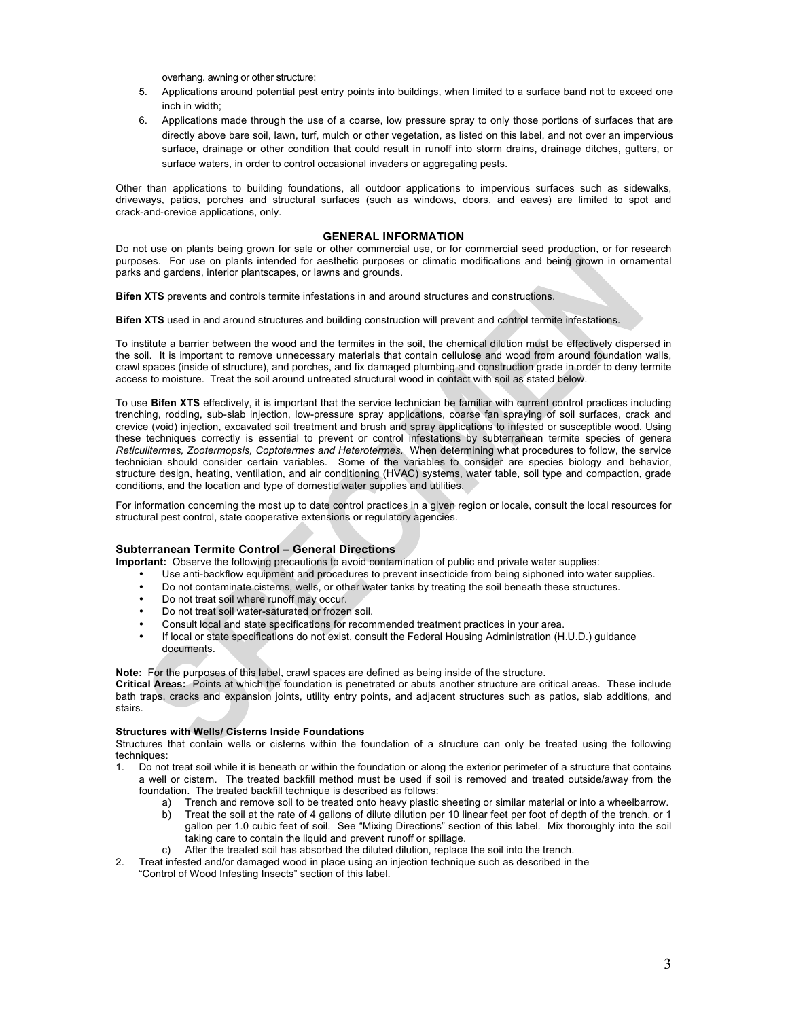overhang, awning or other structure;

- 5. Applications around potential pest entry points into buildings, when limited to a surface band not to exceed one inch in width;
- 6. Applications made through the use of a coarse, low pressure spray to only those portions of surfaces that are directly above bare soil, lawn, turf, mulch or other vegetation, as listed on this label, and not over an impervious surface, drainage or other condition that could result in runoff into storm drains, drainage ditches, gutters, or surface waters, in order to control occasional invaders or aggregating pests.

Other than applications to building foundations, all outdoor applications to impervious surfaces such as sidewalks, driveways, patios, porches and structural surfaces (such as windows, doors, and eaves) are limited to spot and crack-and-crevice applications, only.

# **GENERAL INFORMATION**

Do not use on plants being grown for sale or other commercial use, or for commercial seed production, or for research purposes. For use on plants intended for aesthetic purposes or climatic modifications and being grown in ornamental parks and gardens, interior plantscapes, or lawns and grounds.

**Bifen XTS** prevents and controls termite infestations in and around structures and constructions.

**Bifen XTS** used in and around structures and building construction will prevent and control termite infestations.

To institute a barrier between the wood and the termites in the soil, the chemical dilution must be effectively dispersed in the soil. It is important to remove unnecessary materials that contain cellulose and wood from around foundation walls, crawl spaces (inside of structure), and porches, and fix damaged plumbing and construction grade in order to deny termite access to moisture. Treat the soil around untreated structural wood in contact with soil as stated below.

To use **Bifen XTS** effectively, it is important that the service technician be familiar with current control practices including trenching, rodding, sub-slab injection, low-pressure spray applications, coarse fan spraying of soil surfaces, crack and crevice (void) injection, excavated soil treatment and brush and spray applications to infested or susceptible wood. Using these techniques correctly is essential to prevent or control infestations by subterranean termite species of genera *Reticulitermes, Zootermopsis, Coptotermes and Heterotermes.* When determining what procedures to follow, the service technician should consider certain variables. Some of the variables to consider are species biology and behavior, structure design, heating, ventilation, and air conditioning (HVAC) systems, water table, soil type and compaction, grade conditions, and the location and type of domestic water supplies and utilities.

For information concerning the most up to date control practices in a given region or locale, consult the local resources for structural pest control, state cooperative extensions or regulatory agencies.

# **Subterranean Termite Control – General Directions**

**Important:** Observe the following precautions to avoid contamination of public and private water supplies:

- Use anti-backflow equipment and procedures to prevent insecticide from being siphoned into water supplies.<br>• De not contaminate cisterns, wells, or other water tanks by treating the soil beneath these structures
- Do not contaminate cisterns, wells, or other water tanks by treating the soil beneath these structures.
- Do not treat soil where runoff may occur.
- Do not treat soil water-saturated or frozen soil.
- Consult local and state specifications for recommended treatment practices in your area.
- If local or state specifications do not exist, consult the Federal Housing Administration (H.U.D.) guidance documents.

**Note:** For the purposes of this label, crawl spaces are defined as being inside of the structure.

**Critical Areas:** Points at which the foundation is penetrated or abuts another structure are critical areas. These include bath traps, cracks and expansion joints, utility entry points, and adjacent structures such as patios, slab additions, and stairs.

# **Structures with Wells/ Cisterns Inside Foundations**

Structures that contain wells or cisterns within the foundation of a structure can only be treated using the following techniques:

- 1. Do not treat soil while it is beneath or within the foundation or along the exterior perimeter of a structure that contains a well or cistern. The treated backfill method must be used if soil is removed and treated outside/away from the foundation. The treated backfill technique is described as follows:
	- a) Trench and remove soil to be treated onto heavy plastic sheeting or similar material or into a wheelbarrow.
	- b) Treat the soil at the rate of 4 gallons of dilute dilution per 10 linear feet per foot of depth of the trench, or 1 gallon per 1.0 cubic feet of soil. See "Mixing Directions" section of this label. Mix thoroughly into the soil taking care to contain the liquid and prevent runoff or spillage.
	- c) After the treated soil has absorbed the diluted dilution, replace the soil into the trench.
- 2. Treat infested and/or damaged wood in place using an injection technique such as described in the "Control of Wood Infesting Insects" section of this label.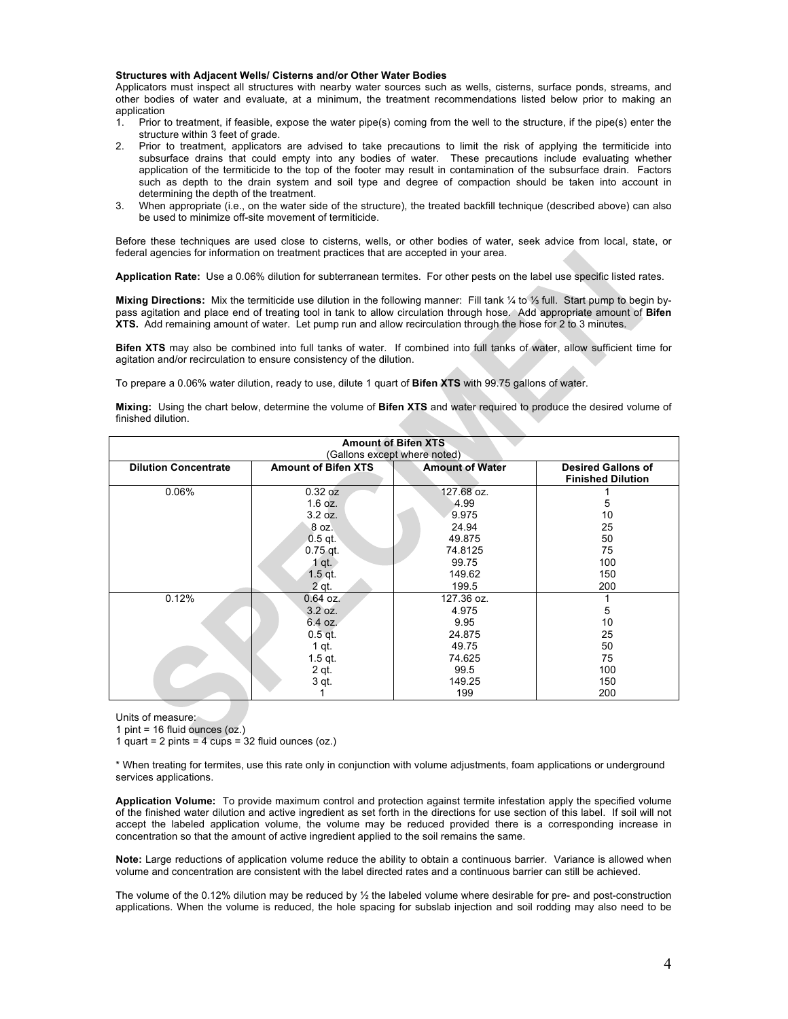#### **Structures with Adjacent Wells/ Cisterns and/or Other Water Bodies**

Applicators must inspect all structures with nearby water sources such as wells, cisterns, surface ponds, streams, and other bodies of water and evaluate, at a minimum, the treatment recommendations listed below prior to making an

- application<br>1. Prior t 1. Prior to treatment, if feasible, expose the water pipe(s) coming from the well to the structure, if the pipe(s) enter the structure within 3 feet of grade.
- 2. Prior to treatment, applicators are advised to take precautions to limit the risk of applying the termiticide into subsurface drains that could empty into any bodies of water. These precautions include evaluating whether application of the termiticide to the top of the footer may result in contamination of the subsurface drain. Factors such as depth to the drain system and soil type and degree of compaction should be taken into account in determining the depth of the treatment.
- 3. When appropriate (i.e., on the water side of the structure), the treated backfill technique (described above) can also be used to minimize off-site movement of termiticide.

Before these techniques are used close to cisterns, wells, or other bodies of water, seek advice from local, state, or federal agencies for information on treatment practices that are accepted in your area.

**Application Rate:** Use a 0.06% dilution for subterranean termites. For other pests on the label use specific listed rates.

**Mixing Directions:** Mix the termiticide use dilution in the following manner: Fill tank ¼ to ⅓ full. Start pump to begin bypass agitation and place end of treating tool in tank to allow circulation through hose. Add appropriate amount of **Bifen XTS.** Add remaining amount of water. Let pump run and allow recirculation through the hose for 2 to 3 minutes.

**Bifen XTS** may also be combined into full tanks of water. If combined into full tanks of water, allow sufficient time for agitation and/or recirculation to ensure consistency of the dilution.

To prepare a 0.06% water dilution, ready to use, dilute 1 quart of **Bifen XTS** with 99.75 gallons of water.

**Mixing:** Using the chart below, determine the volume of **Bifen XTS** and water required to produce the desired volume of finished dilution.

| <b>Amount of Bifen XTS</b>   |                            |                        |                                                       |
|------------------------------|----------------------------|------------------------|-------------------------------------------------------|
| (Gallons except where noted) |                            |                        |                                                       |
| <b>Dilution Concentrate</b>  | <b>Amount of Bifen XTS</b> | <b>Amount of Water</b> | <b>Desired Gallons of</b><br><b>Finished Dilution</b> |
| 0.06%                        | 0.32 oz                    | 127.68 oz.             |                                                       |
|                              | $1.6$ oz.                  | 4.99                   | 5                                                     |
|                              | 3.2 oz.                    | 9.975                  | 10                                                    |
|                              | 8 oz.                      | 24.94                  | 25                                                    |
|                              | $0.5$ qt.                  | 49.875                 | 50                                                    |
|                              | $0.75$ qt.                 | 74.8125                | 75                                                    |
|                              | $1$ qt.                    | 99.75                  | 100                                                   |
|                              | $1.5$ qt.                  | 149.62                 | 150                                                   |
|                              | 2 qt                       | 199.5                  | 200                                                   |
| 0.12%                        | $0.64$ oz.                 | 127.36 oz.             |                                                       |
|                              | 3.2 oz.                    | 4.975                  | 5                                                     |
|                              | 6.4 oz.                    | 9.95                   | 10                                                    |
|                              | $0.5$ qt.                  | 24.875                 | 25                                                    |
|                              | $1$ qt.                    | 49.75                  | 50                                                    |
|                              | $1.5$ qt.                  | 74.625                 | 75                                                    |
|                              | 2 qt.                      | 99.5                   | 100                                                   |
|                              | 3 qt.                      | 149.25                 | 150                                                   |
|                              |                            | 199                    | 200                                                   |

Units of measure:

1 pint =  $16$  fluid ounces (oz.)

1 quart = 2 pints = 4  $cups = 32$  fluid ounces (oz.)

\* When treating for termites, use this rate only in conjunction with volume adjustments, foam applications or underground services applications.

**Application Volume:** To provide maximum control and protection against termite infestation apply the specified volume of the finished water dilution and active ingredient as set forth in the directions for use section of this label. If soil will not accept the labeled application volume, the volume may be reduced provided there is a corresponding increase in concentration so that the amount of active ingredient applied to the soil remains the same.

**Note:** Large reductions of application volume reduce the ability to obtain a continuous barrier. Variance is allowed when volume and concentration are consistent with the label directed rates and a continuous barrier can still be achieved.

The volume of the 0.12% dilution may be reduced by ½ the labeled volume where desirable for pre- and post-construction applications. When the volume is reduced, the hole spacing for subslab injection and soil rodding may also need to be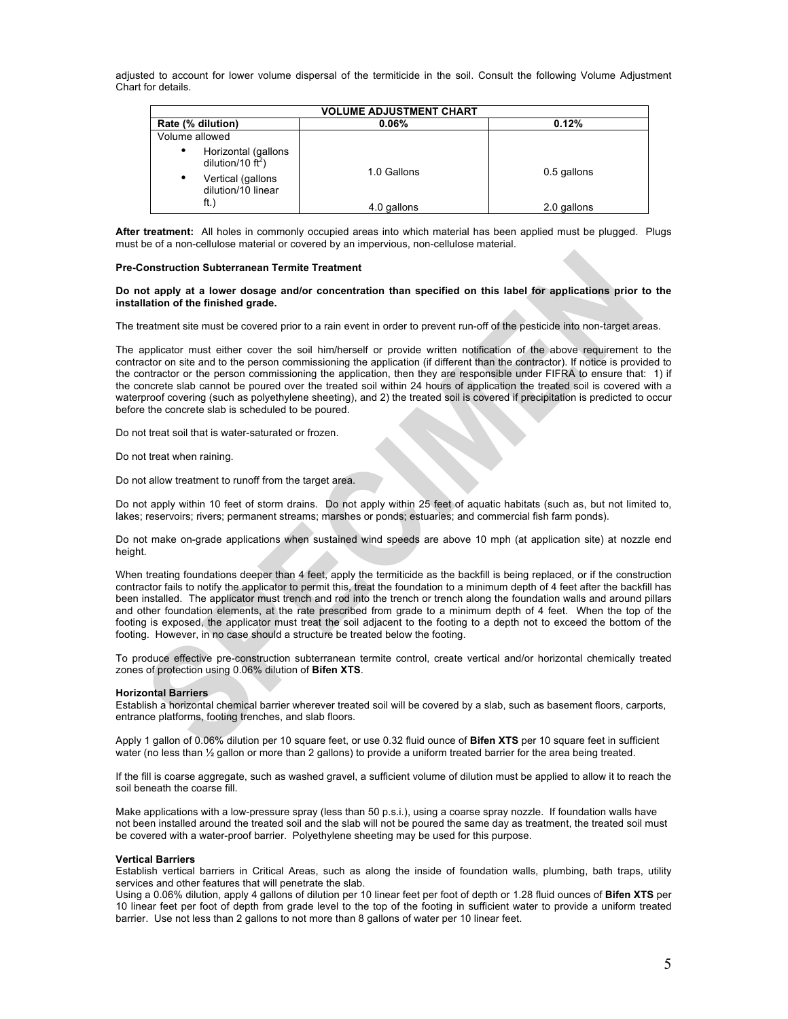adjusted to account for lower volume dispersal of the termiticide in the soil. Consult the following Volume Adjustment Chart for details.

| <b>VOLUME ADJUSTMENT CHART</b> |                                                                                               |             |             |
|--------------------------------|-----------------------------------------------------------------------------------------------|-------------|-------------|
|                                | Rate (% dilution)                                                                             | 0.06%       | 0.12%       |
| Volume allowed                 |                                                                                               |             |             |
| ٠<br>$\bullet$                 | Horizontal (gallons<br>dilution/10 $\text{ft}^2$ )<br>Vertical (gallons<br>dilution/10 linear | 1.0 Gallons | 0.5 gallons |
|                                | ft.)                                                                                          | 4.0 gallons | 2.0 gallons |

**After treatment:** All holes in commonly occupied areas into which material has been applied must be plugged. Plugs must be of a non-cellulose material or covered by an impervious, non-cellulose material.

#### **Pre-Construction Subterranean Termite Treatment**

**Do not apply at a lower dosage and/or concentration than specified on this label for applications prior to the installation of the finished grade.** 

The treatment site must be covered prior to a rain event in order to prevent run-off of the pesticide into non-target areas.

The applicator must either cover the soil him/herself or provide written notification of the above requirement to the contractor on site and to the person commissioning the application (if different than the contractor). If notice is provided to the contractor or the person commissioning the application, then they are responsible under FIFRA to ensure that: 1) if the concrete slab cannot be poured over the treated soil within 24 hours of application the treated soil is covered with a waterproof covering (such as polyethylene sheeting), and 2) the treated soil is covered if precipitation is predicted to occur before the concrete slab is scheduled to be poured.

Do not treat soil that is water-saturated or frozen.

Do not treat when raining.

Do not allow treatment to runoff from the target area.

Do not apply within 10 feet of storm drains. Do not apply within 25 feet of aquatic habitats (such as, but not limited to, lakes; reservoirs; rivers; permanent streams; marshes or ponds; estuaries; and commercial fish farm ponds).

Do not make on-grade applications when sustained wind speeds are above 10 mph (at application site) at nozzle end height.

When treating foundations deeper than 4 feet, apply the termiticide as the backfill is being replaced, or if the construction contractor fails to notify the applicator to permit this, treat the foundation to a minimum depth of 4 feet after the backfill has been installed. The applicator must trench and rod into the trench or trench along the foundation walls and around pillars and other foundation elements, at the rate prescribed from grade to a minimum depth of 4 feet. When the top of the footing is exposed, the applicator must treat the soil adjacent to the footing to a depth not to exceed the bottom of the footing. However, in no case should a structure be treated below the footing.

To produce effective pre-construction subterranean termite control, create vertical and/or horizontal chemically treated zones of protection using 0.06% dilution of **Bifen XTS**.

# **Horizontal Barriers**

Establish a horizontal chemical barrier wherever treated soil will be covered by a slab, such as basement floors, carports, entrance platforms, footing trenches, and slab floors.

Apply 1 gallon of 0.06% dilution per 10 square feet, or use 0.32 fluid ounce of **Bifen XTS** per 10 square feet in sufficient water (no less than  $\frac{1}{2}$  gallon or more than 2 gallons) to provide a uniform treated barrier for the area being treated.

If the fill is coarse aggregate, such as washed gravel, a sufficient volume of dilution must be applied to allow it to reach the soil beneath the coarse fill.

Make applications with a low-pressure spray (less than 50 p.s.i.), using a coarse spray nozzle. If foundation walls have not been installed around the treated soil and the slab will not be poured the same day as treatment, the treated soil must be covered with a water-proof barrier. Polyethylene sheeting may be used for this purpose.

#### **Vertical Barriers**

Establish vertical barriers in Critical Areas, such as along the inside of foundation walls, plumbing, bath traps, utility services and other features that will penetrate the slab.

Using a 0.06% dilution, apply 4 gallons of dilution per 10 linear feet per foot of depth or 1.28 fluid ounces of **Bifen XTS** per 10 linear feet per foot of depth from grade level to the top of the footing in sufficient water to provide a uniform treated barrier. Use not less than 2 gallons to not more than 8 gallons of water per 10 linear feet.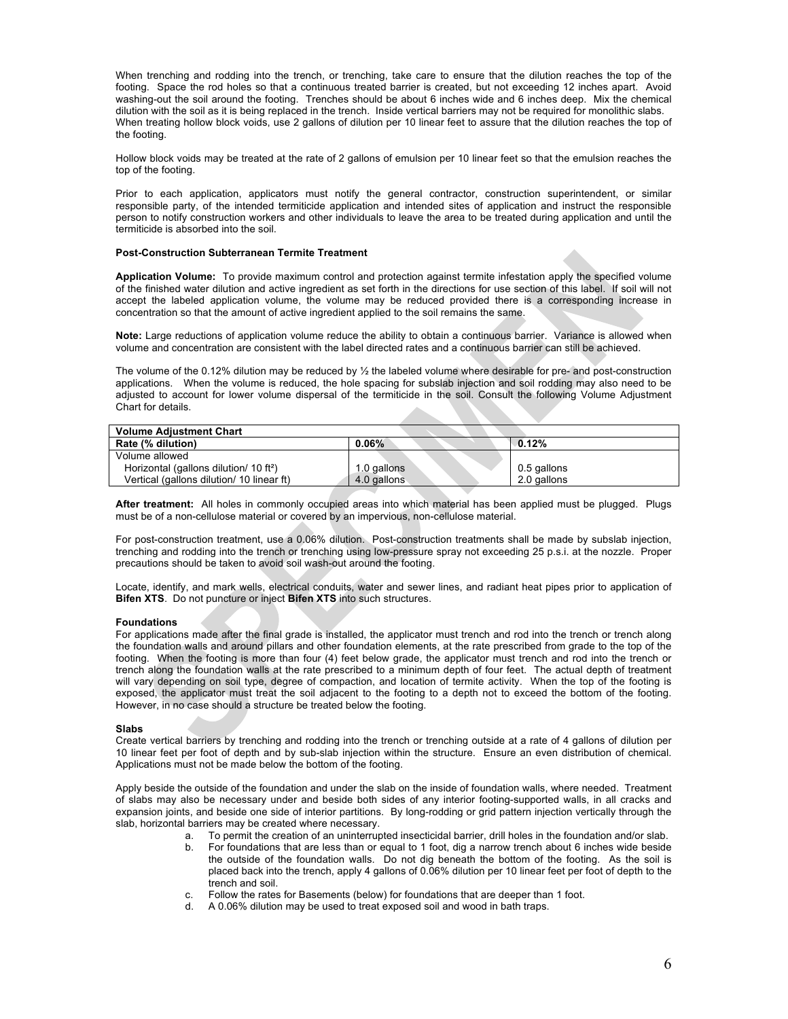When trenching and rodding into the trench, or trenching, take care to ensure that the dilution reaches the top of the footing. Space the rod holes so that a continuous treated barrier is created, but not exceeding 12 inches apart. Avoid washing-out the soil around the footing. Trenches should be about 6 inches wide and 6 inches deep. Mix the chemical dilution with the soil as it is being replaced in the trench. Inside vertical barriers may not be required for monolithic slabs. When treating hollow block voids, use 2 gallons of dilution per 10 linear feet to assure that the dilution reaches the top of the footing.

Hollow block voids may be treated at the rate of 2 gallons of emulsion per 10 linear feet so that the emulsion reaches the top of the footing.

Prior to each application, applicators must notify the general contractor, construction superintendent, or similar responsible party, of the intended termiticide application and intended sites of application and instruct the responsible person to notify construction workers and other individuals to leave the area to be treated during application and until the termiticide is absorbed into the soil.

#### **Post-Construction Subterranean Termite Treatment**

**Application Volume:** To provide maximum control and protection against termite infestation apply the specified volume of the finished water dilution and active ingredient as set forth in the directions for use section of this label. If soil will not accept the labeled application volume, the volume may be reduced provided there is a corresponding increase in concentration so that the amount of active ingredient applied to the soil remains the same.

**Note:** Large reductions of application volume reduce the ability to obtain a continuous barrier. Variance is allowed when volume and concentration are consistent with the label directed rates and a continuous barrier can still be achieved.

The volume of the 0.12% dilution may be reduced by ½ the labeled volume where desirable for pre- and post-construction applications. When the volume is reduced, the hole spacing for subslab injection and soil rodding may also need to be adjusted to account for lower volume dispersal of the termiticide in the soil. Consult the following Volume Adjustment Chart for details.

| <b>Volume Adiustment Chart</b>                     |             |             |  |
|----------------------------------------------------|-------------|-------------|--|
| Rate (% dilution)                                  | $0.06\%$    | 0.12%       |  |
| Volume allowed                                     |             |             |  |
| Horizontal (gallons dilution/ 10 ft <sup>2</sup> ) | 1.0 gallons | 0.5 gallons |  |
| Vertical (gallons dilution/ 10 linear ft)          | 4.0 gallons | 2.0 gallons |  |

**After treatment:** All holes in commonly occupied areas into which material has been applied must be plugged. Plugs must be of a non-cellulose material or covered by an impervious, non-cellulose material.

For post-construction treatment, use a 0.06% dilution. Post-construction treatments shall be made by subslab injection, trenching and rodding into the trench or trenching using low-pressure spray not exceeding 25 p.s.i. at the nozzle. Proper precautions should be taken to avoid soil wash-out around the footing.

Locate, identify, and mark wells, electrical conduits, water and sewer lines, and radiant heat pipes prior to application of **Bifen XTS**. Do not puncture or inject **Bifen XTS** into such structures.

#### **Foundations**

For applications made after the final grade is installed, the applicator must trench and rod into the trench or trench along the foundation walls and around pillars and other foundation elements, at the rate prescribed from grade to the top of the footing. When the footing is more than four (4) feet below grade, the applicator must trench and rod into the trench or trench along the foundation walls at the rate prescribed to a minimum depth of four feet. The actual depth of treatment will vary depending on soil type, degree of compaction, and location of termite activity. When the top of the footing is exposed, the applicator must treat the soil adjacent to the footing to a depth not to exceed the bottom of the footing. However, in no case should a structure be treated below the footing.

#### **Slabs**

Create vertical barriers by trenching and rodding into the trench or trenching outside at a rate of 4 gallons of dilution per 10 linear feet per foot of depth and by sub-slab injection within the structure. Ensure an even distribution of chemical. Applications must not be made below the bottom of the footing.

Apply beside the outside of the foundation and under the slab on the inside of foundation walls, where needed. Treatment of slabs may also be necessary under and beside both sides of any interior footing-supported walls, in all cracks and expansion joints, and beside one side of interior partitions. By long-rodding or grid pattern injection vertically through the slab, horizontal barriers may be created where necessary.

- a. To permit the creation of an uninterrupted insecticidal barrier, drill holes in the foundation and/or slab.
- b. For foundations that are less than or equal to 1 foot, dig a narrow trench about 6 inches wide beside the outside of the foundation walls. Do not dig beneath the bottom of the footing. As the soil is placed back into the trench, apply 4 gallons of 0.06% dilution per 10 linear feet per foot of depth to the trench and soil.
- c. Follow the rates for Basements (below) for foundations that are deeper than 1 foot.
- d. A 0.06% dilution may be used to treat exposed soil and wood in bath traps.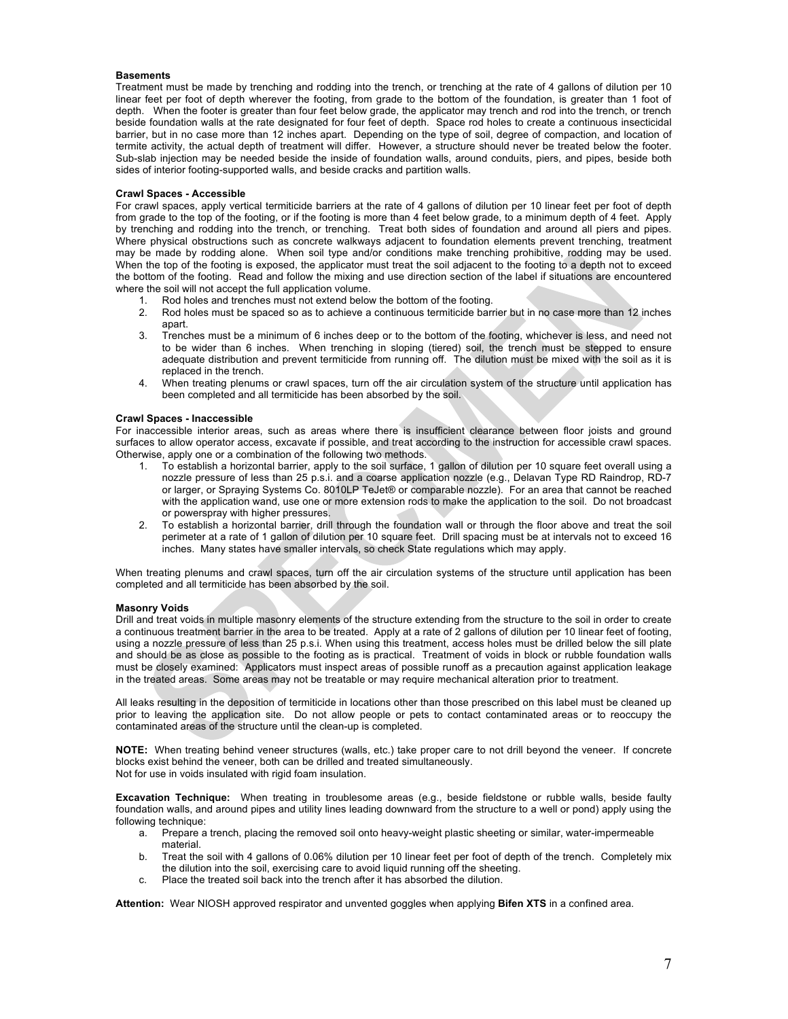#### **Basements**

Treatment must be made by trenching and rodding into the trench, or trenching at the rate of 4 gallons of dilution per 10 linear feet per foot of depth wherever the footing, from grade to the bottom of the foundation, is greater than 1 foot of depth. When the footer is greater than four feet below grade, the applicator may trench and rod into the trench, or trench beside foundation walls at the rate designated for four feet of depth. Space rod holes to create a continuous insecticidal barrier, but in no case more than 12 inches apart. Depending on the type of soil, degree of compaction, and location of termite activity, the actual depth of treatment will differ. However, a structure should never be treated below the footer. Sub-slab injection may be needed beside the inside of foundation walls, around conduits, piers, and pipes, beside both sides of interior footing-supported walls, and beside cracks and partition walls.

#### **Crawl Spaces - Accessible**

For crawl spaces, apply vertical termiticide barriers at the rate of 4 gallons of dilution per 10 linear feet per foot of depth from grade to the top of the footing, or if the footing is more than 4 feet below grade, to a minimum depth of 4 feet. Apply by trenching and rodding into the trench, or trenching. Treat both sides of foundation and around all piers and pipes. Where physical obstructions such as concrete walkways adjacent to foundation elements prevent trenching, treatment may be made by rodding alone. When soil type and/or conditions make trenching prohibitive, rodding may be used. When the top of the footing is exposed, the applicator must treat the soil adjacent to the footing to a depth not to exceed the bottom of the footing. Read and follow the mixing and use direction section of the label if situations are encountered where the soil will not accept the full application volume.<br>1. Rod holes and trenches must not extend belov

- 1. Rod holes and trenches must not extend below the bottom of the footing.
- 2. Rod holes must be spaced so as to achieve a continuous termiticide barrier but in no case more than 12 inches apart.
- 3. Trenches must be a minimum of 6 inches deep or to the bottom of the footing, whichever is less, and need not to be wider than 6 inches. When trenching in sloping (tiered) soil, the trench must be stepped to ensure adequate distribution and prevent termiticide from running off. The dilution must be mixed with the soil as it is replaced in the trench.
- 4. When treating plenums or crawl spaces, turn off the air circulation system of the structure until application has been completed and all termiticide has been absorbed by the soil.

# **Crawl Spaces - Inaccessible**

For inaccessible interior areas, such as areas where there is insufficient clearance between floor joists and ground surfaces to allow operator access, excavate if possible, and treat according to the instruction for accessible crawl spaces. Otherwise, apply one or a combination of the following two methods.

- 1. To establish a horizontal barrier, apply to the soil surface, 1 gallon of dilution per 10 square feet overall using a nozzle pressure of less than 25 p.s.i. and a coarse application nozzle (e.g., Delavan Type RD Raindrop, RD-7 or larger, or Spraying Systems Co. 8010LP TeJet® or comparable nozzle). For an area that cannot be reached with the application wand, use one or more extension rods to make the application to the soil. Do not broadcast or powerspray with higher pressures.
- 2. To establish a horizontal barrier, drill through the foundation wall or through the floor above and treat the soil perimeter at a rate of 1 gallon of dilution per 10 square feet. Drill spacing must be at intervals not to exceed 16 inches. Many states have smaller intervals, so check State regulations which may apply.

When treating plenums and crawl spaces, turn off the air circulation systems of the structure until application has been completed and all termiticide has been absorbed by the soil.

#### **Masonry Voids**

Drill and treat voids in multiple masonry elements of the structure extending from the structure to the soil in order to create a continuous treatment barrier in the area to be treated. Apply at a rate of 2 gallons of dilution per 10 linear feet of footing, using a nozzle pressure of less than 25 p.s.i. When using this treatment, access holes must be drilled below the sill plate and should be as close as possible to the footing as is practical. Treatment of voids in block or rubble foundation walls must be closely examined: Applicators must inspect areas of possible runoff as a precaution against application leakage in the treated areas. Some areas may not be treatable or may require mechanical alteration prior to treatment.

All leaks resulting in the deposition of termiticide in locations other than those prescribed on this label must be cleaned up prior to leaving the application site. Do not allow people or pets to contact contaminated areas or to reoccupy the contaminated areas of the structure until the clean-up is completed.

**NOTE:** When treating behind veneer structures (walls, etc.) take proper care to not drill beyond the veneer. If concrete blocks exist behind the veneer, both can be drilled and treated simultaneously. Not for use in voids insulated with rigid foam insulation.

**Excavation Technique:** When treating in troublesome areas (e.g., beside fieldstone or rubble walls, beside faulty foundation walls, and around pipes and utility lines leading downward from the structure to a well or pond) apply using the following technique:

- a. Prepare a trench, placing the removed soil onto heavy-weight plastic sheeting or similar, water-impermeable material.
- b. Treat the soil with 4 gallons of 0.06% dilution per 10 linear feet per foot of depth of the trench. Completely mix the dilution into the soil, exercising care to avoid liquid running off the sheeting.
- c. Place the treated soil back into the trench after it has absorbed the dilution.

**Attention:** Wear NIOSH approved respirator and unvented goggles when applying **Bifen XTS** in a confined area.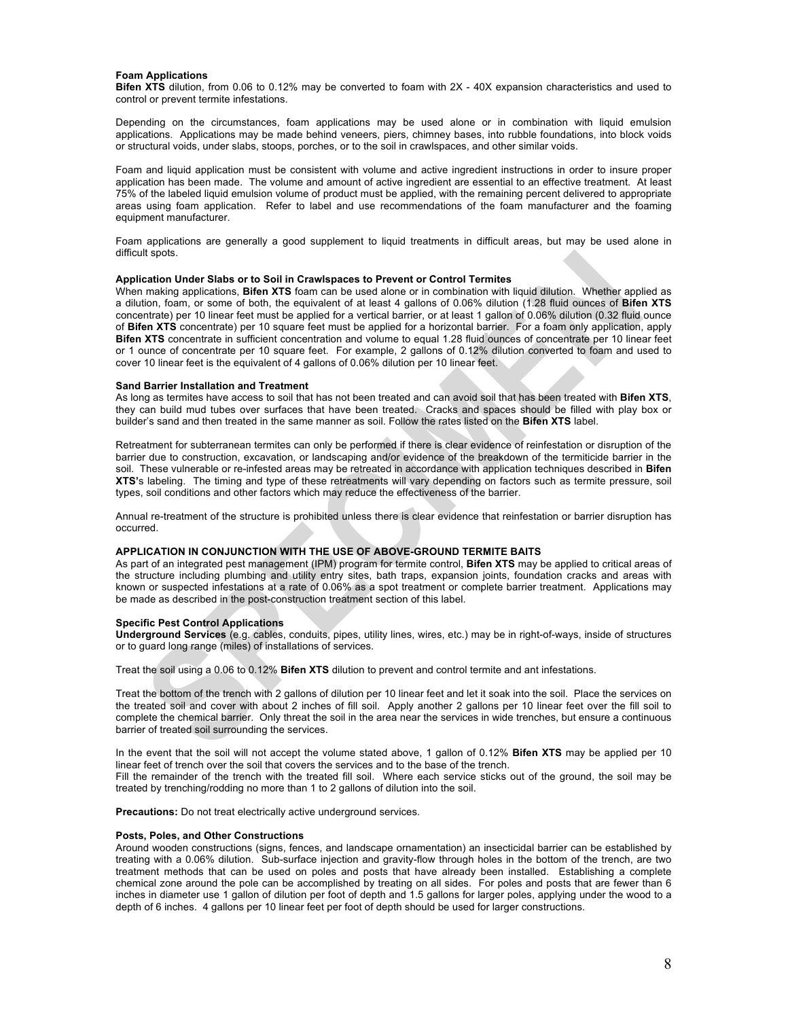#### **Foam Applications**

**Bifen XTS** dilution, from 0.06 to 0.12% may be converted to foam with 2X - 40X expansion characteristics and used to control or prevent termite infestations.

Depending on the circumstances, foam applications may be used alone or in combination with liquid emulsion applications. Applications may be made behind veneers, piers, chimney bases, into rubble foundations, into block voids or structural voids, under slabs, stoops, porches, or to the soil in crawlspaces, and other similar voids.

Foam and liquid application must be consistent with volume and active ingredient instructions in order to insure proper application has been made. The volume and amount of active ingredient are essential to an effective treatment. At least 75% of the labeled liquid emulsion volume of product must be applied, with the remaining percent delivered to appropriate areas using foam application. Refer to label and use recommendations of the foam manufacturer and the foaming equipment manufacturer.

Foam applications are generally a good supplement to liquid treatments in difficult areas, but may be used alone in difficult spots.

#### **Application Under Slabs or to Soil in Crawlspaces to Prevent or Control Termites**

When making applications, **Bifen XTS** foam can be used alone or in combination with liquid dilution. Whether applied as a dilution, foam, or some of both, the equivalent of at least 4 gallons of 0.06% dilution (1.28 fluid ounces of **Bifen XTS** concentrate) per 10 linear feet must be applied for a vertical barrier, or at least 1 gallon of 0.06% dilution (0.32 fluid ounce of **Bifen XTS** concentrate) per 10 square feet must be applied for a horizontal barrier. For a foam only application, apply **Bifen XTS** concentrate in sufficient concentration and volume to equal 1.28 fluid ounces of concentrate per 10 linear feet or 1 ounce of concentrate per 10 square feet. For example, 2 gallons of 0.12% dilution converted to foam and used to cover 10 linear feet is the equivalent of 4 gallons of 0.06% dilution per 10 linear feet.

#### **Sand Barrier Installation and Treatment**

As long as termites have access to soil that has not been treated and can avoid soil that has been treated with **Bifen XTS**, they can build mud tubes over surfaces that have been treated. Cracks and spaces should be filled with play box or builder's sand and then treated in the same manner as soil. Follow the rates listed on the **Bifen XTS** label.

Retreatment for subterranean termites can only be performed if there is clear evidence of reinfestation or disruption of the barrier due to construction, excavation, or landscaping and/or evidence of the breakdown of the termiticide barrier in the soil. These vulnerable or re-infested areas may be retreated in accordance with application techniques described in **Bifen XTS'**s labeling. The timing and type of these retreatments will vary depending on factors such as termite pressure, soil types, soil conditions and other factors which may reduce the effectiveness of the barrier.

Annual re-treatment of the structure is prohibited unless there is clear evidence that reinfestation or barrier disruption has occurred.

# **APPLICATION IN CONJUNCTION WITH THE USE OF ABOVE-GROUND TERMITE BAITS**

As part of an integrated pest management (IPM) program for termite control, **Bifen XTS** may be applied to critical areas of the structure including plumbing and utility entry sites, bath traps, expansion joints, foundation cracks and areas with known or suspected infestations at a rate of 0.06% as a spot treatment or complete barrier treatment. Applications may be made as described in the post-construction treatment section of this label.

#### **Specific Pest Control Applications**

**Underground Services** (e.g. cables, conduits, pipes, utility lines, wires, etc.) may be in right-of-ways, inside of structures or to guard long range (miles) of installations of services.

Treat the soil using a 0.06 to 0.12% **Bifen XTS** dilution to prevent and control termite and ant infestations.

Treat the bottom of the trench with 2 gallons of dilution per 10 linear feet and let it soak into the soil. Place the services on the treated soil and cover with about 2 inches of fill soil. Apply another 2 gallons per 10 linear feet over the fill soil to complete the chemical barrier. Only threat the soil in the area near the services in wide trenches, but ensure a continuous barrier of treated soil surrounding the services.

In the event that the soil will not accept the volume stated above, 1 gallon of 0.12% **Bifen XTS** may be applied per 10 linear feet of trench over the soil that covers the services and to the base of the trench.

Fill the remainder of the trench with the treated fill soil. Where each service sticks out of the ground, the soil may be treated by trenching/rodding no more than 1 to 2 gallons of dilution into the soil.

**Precautions:** Do not treat electrically active underground services.

#### **Posts, Poles, and Other Constructions**

Around wooden constructions (signs, fences, and landscape ornamentation) an insecticidal barrier can be established by treating with a 0.06% dilution. Sub-surface injection and gravity-flow through holes in the bottom of the trench, are two treatment methods that can be used on poles and posts that have already been installed. Establishing a complete chemical zone around the pole can be accomplished by treating on all sides. For poles and posts that are fewer than 6 inches in diameter use 1 gallon of dilution per foot of depth and 1.5 gallons for larger poles, applying under the wood to a depth of 6 inches. 4 gallons per 10 linear feet per foot of depth should be used for larger constructions.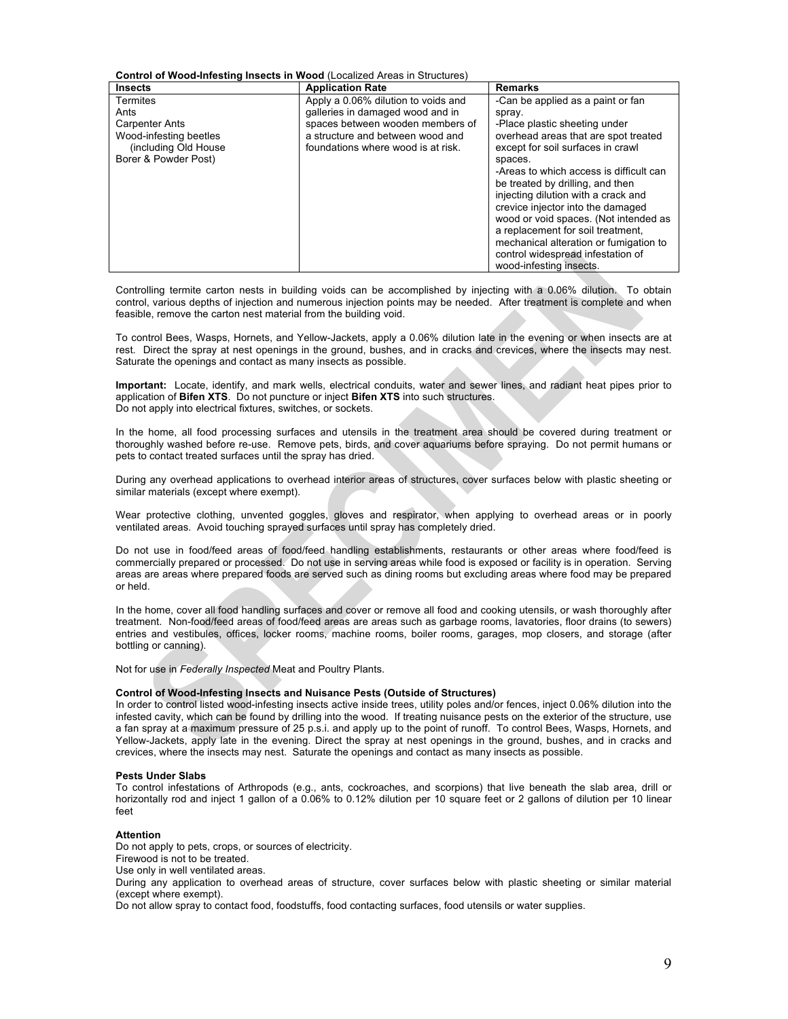**Control of Wood-Infesting Insects in Wood** (Localized Areas in Structures)

| <b>Insects</b>                                                                                                              | <b>Application Rate</b>                                                                                                                                                               | <b>Remarks</b>                                                                                                                                                                                                                                                                                                                                                                                                                                                                               |
|-----------------------------------------------------------------------------------------------------------------------------|---------------------------------------------------------------------------------------------------------------------------------------------------------------------------------------|----------------------------------------------------------------------------------------------------------------------------------------------------------------------------------------------------------------------------------------------------------------------------------------------------------------------------------------------------------------------------------------------------------------------------------------------------------------------------------------------|
| <b>Termites</b><br>Ants<br><b>Carpenter Ants</b><br>Wood-infesting beetles<br>(including Old House)<br>Borer & Powder Post) | Apply a 0.06% dilution to voids and<br>galleries in damaged wood and in<br>spaces between wooden members of<br>a structure and between wood and<br>foundations where wood is at risk. | -Can be applied as a paint or fan<br>spray.<br>-Place plastic sheeting under<br>overhead areas that are spot treated<br>except for soil surfaces in crawl<br>spaces.<br>-Areas to which access is difficult can<br>be treated by drilling, and then<br>injecting dilution with a crack and<br>crevice injector into the damaged<br>wood or void spaces. (Not intended as<br>a replacement for soil treatment.<br>mechanical alteration or fumigation to<br>control widespread infestation of |
|                                                                                                                             |                                                                                                                                                                                       | wood-infesting insects.                                                                                                                                                                                                                                                                                                                                                                                                                                                                      |

Controlling termite carton nests in building voids can be accomplished by injecting with a 0.06% dilution. To obtain control, various depths of injection and numerous injection points may be needed. After treatment is complete and when feasible, remove the carton nest material from the building void.

To control Bees, Wasps, Hornets, and Yellow-Jackets, apply a 0.06% dilution late in the evening or when insects are at rest. Direct the spray at nest openings in the ground, bushes, and in cracks and crevices, where the insects may nest. Saturate the openings and contact as many insects as possible.

**Important:** Locate, identify, and mark wells, electrical conduits, water and sewer lines, and radiant heat pipes prior to application of **Bifen XTS**. Do not puncture or inject **Bifen XTS** into such structures. Do not apply into electrical fixtures, switches, or sockets.

In the home, all food processing surfaces and utensils in the treatment area should be covered during treatment or thoroughly washed before re-use. Remove pets, birds, and cover aquariums before spraying. Do not permit humans or pets to contact treated surfaces until the spray has dried.

During any overhead applications to overhead interior areas of structures, cover surfaces below with plastic sheeting or similar materials (except where exempt).

Wear protective clothing, unvented goggles, gloves and respirator, when applying to overhead areas or in poorly ventilated areas. Avoid touching sprayed surfaces until spray has completely dried.

Do not use in food/feed areas of food/feed handling establishments, restaurants or other areas where food/feed is commercially prepared or processed. Do not use in serving areas while food is exposed or facility is in operation. Serving areas are areas where prepared foods are served such as dining rooms but excluding areas where food may be prepared or held.

In the home, cover all food handling surfaces and cover or remove all food and cooking utensils, or wash thoroughly after treatment. Non-food/feed areas of food/feed areas are areas such as garbage rooms, lavatories, floor drains (to sewers) entries and vestibules, offices, locker rooms, machine rooms, boiler rooms, garages, mop closers, and storage (after bottling or canning).

Not for use in *Federally Inspected* Meat and Poultry Plants.

#### **Control of Wood-Infesting Insects and Nuisance Pests (Outside of Structures)**

In order to control listed wood-infesting insects active inside trees, utility poles and/or fences, inject 0.06% dilution into the infested cavity, which can be found by drilling into the wood. If treating nuisance pests on the exterior of the structure, use a fan spray at a maximum pressure of 25 p.s.i. and apply up to the point of runoff. To control Bees, Wasps, Hornets, and Yellow-Jackets, apply late in the evening. Direct the spray at nest openings in the ground, bushes, and in cracks and crevices, where the insects may nest. Saturate the openings and contact as many insects as possible.

#### **Pests Under Slabs**

To control infestations of Arthropods (e.g., ants, cockroaches, and scorpions) that live beneath the slab area, drill or horizontally rod and inject 1 gallon of a 0.06% to 0.12% dilution per 10 square feet or 2 gallons of dilution per 10 linear feet

#### **Attention**

Do not apply to pets, crops, or sources of electricity. Firewood is not to be treated. Use only in well ventilated areas. During any application to overhead areas of structure, cover surfaces below with plastic sheeting or similar material (except where exempt).

Do not allow spray to contact food, foodstuffs, food contacting surfaces, food utensils or water supplies.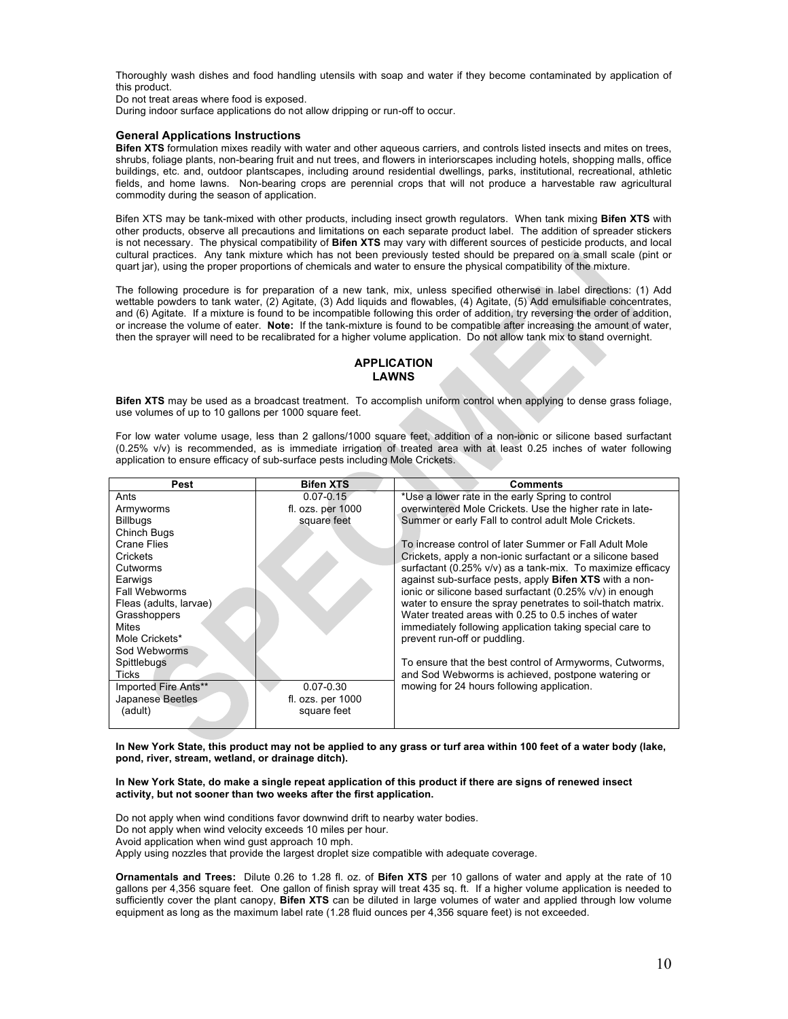Thoroughly wash dishes and food handling utensils with soap and water if they become contaminated by application of this product.

Do not treat areas where food is exposed.

During indoor surface applications do not allow dripping or run-off to occur.

#### **General Applications Instructions**

**Bifen XTS** formulation mixes readily with water and other aqueous carriers, and controls listed insects and mites on trees, shrubs, foliage plants, non-bearing fruit and nut trees, and flowers in interiorscapes including hotels, shopping malls, office buildings, etc. and, outdoor plantscapes, including around residential dwellings, parks, institutional, recreational, athletic fields, and home lawns. Non-bearing crops are perennial crops that will not produce a harvestable raw agricultural commodity during the season of application.

Bifen XTS may be tank-mixed with other products, including insect growth regulators. When tank mixing **Bifen XTS** with other products, observe all precautions and limitations on each separate product label. The addition of spreader stickers is not necessary. The physical compatibility of **Bifen XTS** may vary with different sources of pesticide products, and local cultural practices. Any tank mixture which has not been previously tested should be prepared on a small scale (pint or quart jar), using the proper proportions of chemicals and water to ensure the physical compatibility of the mixture.

The following procedure is for preparation of a new tank, mix, unless specified otherwise in label directions: (1) Add wettable powders to tank water, (2) Agitate, (3) Add liquids and flowables, (4) Agitate, (5) Add emulsifiable concentrates, and (6) Agitate. If a mixture is found to be incompatible following this order of addition, try reversing the order of addition, or increase the volume of eater. **Note:** If the tank-mixture is found to be compatible after increasing the amount of water, then the sprayer will need to be recalibrated for a higher volume application. Do not allow tank mix to stand overnight.

# **APPLICATION LAWNS**

**Bifen XTS** may be used as a broadcast treatment. To accomplish uniform control when applying to dense grass foliage, use volumes of up to 10 gallons per 1000 square feet.

For low water volume usage, less than 2 gallons/1000 square feet, addition of a non-ionic or silicone based surfactant (0.25% v/v) is recommended, as is immediate irrigation of treated area with at least 0.25 inches of water following application to ensure efficacy of sub-surface pests including Mole Crickets.

| Pest                   | <b>Bifen XTS</b>      | <b>Comments</b>                                             |
|------------------------|-----------------------|-------------------------------------------------------------|
| Ants                   | $0.07 - 0.15$         | *Use a lower rate in the early Spring to control            |
| Armyworms              | fl. ozs. per 1000     | overwintered Mole Crickets. Use the higher rate in late-    |
| <b>Billbugs</b>        | square feet           | Summer or early Fall to control adult Mole Crickets.        |
| Chinch Bugs            |                       |                                                             |
| Crane Flies            |                       | To increase control of later Summer or Fall Adult Mole      |
| Crickets               |                       | Crickets, apply a non-ionic surfactant or a silicone based  |
| Cutworms               |                       | surfactant (0.25% v/v) as a tank-mix. To maximize efficacy  |
| Earwigs                |                       | against sub-surface pests, apply Bifen XTS with a non-      |
| Fall Webworms          |                       | ionic or silicone based surfactant (0.25% v/v) in enough    |
| Fleas (adults, larvae) |                       | water to ensure the spray penetrates to soil-thatch matrix. |
| Grasshoppers           |                       | Water treated areas with 0.25 to 0.5 inches of water        |
| <b>Mites</b>           |                       | immediately following application taking special care to    |
| Mole Crickets*         |                       | prevent run-off or puddling.                                |
| Sod Webworms           |                       |                                                             |
| Spittlebugs            |                       | To ensure that the best control of Armyworms, Cutworms,     |
| <b>Ticks</b>           |                       | and Sod Webworms is achieved, postpone watering or          |
| Imported Fire Ants**   | $0.07 - 0.30$         | mowing for 24 hours following application.                  |
| Japanese Beetles       | fl. $ozs.$ per $1000$ |                                                             |
| (adult)                | square feet           |                                                             |
|                        |                       |                                                             |

**In New York State, this product may not be applied to any grass or turf area within 100 feet of a water body (lake, pond, river, stream, wetland, or drainage ditch).**

#### **In New York State, do make a single repeat application of this product if there are signs of renewed insect activity, but not sooner than two weeks after the first application.**

Do not apply when wind conditions favor downwind drift to nearby water bodies. Do not apply when wind velocity exceeds 10 miles per hour. Avoid application when wind gust approach 10 mph. Apply using nozzles that provide the largest droplet size compatible with adequate coverage.

**Ornamentals and Trees:** Dilute 0.26 to 1.28 fl. oz. of **Bifen XTS** per 10 gallons of water and apply at the rate of 10 gallons per 4,356 square feet. One gallon of finish spray will treat 435 sq. ft. If a higher volume application is needed to sufficiently cover the plant canopy, **Bifen XTS** can be diluted in large volumes of water and applied through low volume equipment as long as the maximum label rate (1.28 fluid ounces per 4,356 square feet) is not exceeded.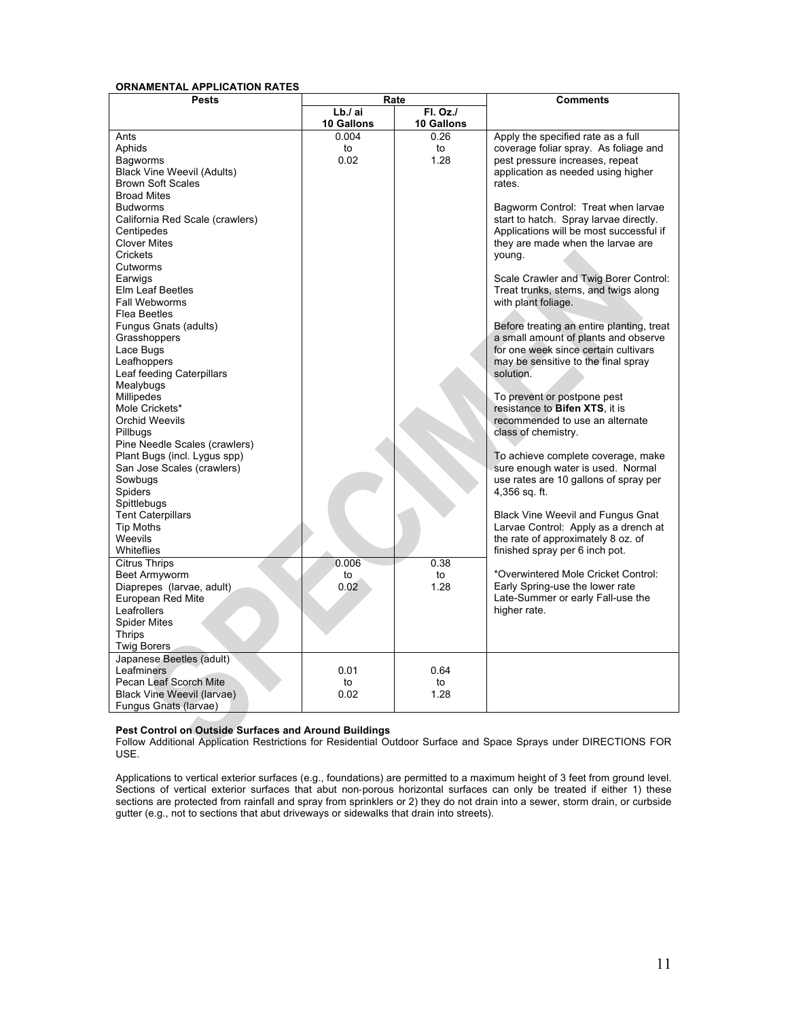#### **ORNAMENTAL APPLICATION RATES**

| <b>Pests</b>                                                                                                                                                                                                                                                                                                                                                                                                                                                                                                                                                                                                                                                                                                                  | Rate                         |                               | <b>Comments</b>                                                                                                                                                                                                                                                                                                                                                                                                                                                                                                                                                                                                                                                                                                                                                                                                                                                                                                                                                                                                                                               |
|-------------------------------------------------------------------------------------------------------------------------------------------------------------------------------------------------------------------------------------------------------------------------------------------------------------------------------------------------------------------------------------------------------------------------------------------------------------------------------------------------------------------------------------------------------------------------------------------------------------------------------------------------------------------------------------------------------------------------------|------------------------------|-------------------------------|---------------------------------------------------------------------------------------------------------------------------------------------------------------------------------------------------------------------------------------------------------------------------------------------------------------------------------------------------------------------------------------------------------------------------------------------------------------------------------------------------------------------------------------------------------------------------------------------------------------------------------------------------------------------------------------------------------------------------------------------------------------------------------------------------------------------------------------------------------------------------------------------------------------------------------------------------------------------------------------------------------------------------------------------------------------|
|                                                                                                                                                                                                                                                                                                                                                                                                                                                                                                                                                                                                                                                                                                                               | Lb./ai<br>10 Gallons         | <b>FI. Oz./</b><br>10 Gallons |                                                                                                                                                                                                                                                                                                                                                                                                                                                                                                                                                                                                                                                                                                                                                                                                                                                                                                                                                                                                                                                               |
| Ants<br>Aphids<br>Bagworms<br><b>Black Vine Weevil (Adults)</b><br><b>Brown Soft Scales</b><br><b>Broad Mites</b><br><b>Budworms</b><br>California Red Scale (crawlers)<br>Centipedes<br><b>Clover Mites</b><br>Crickets<br>Cutworms<br>Earwigs<br>Elm Leaf Beetles<br>Fall Webworms<br>Flea Beetles<br>Fungus Gnats (adults)<br>Grasshoppers<br>Lace Bugs<br>Leafhoppers<br>Leaf feeding Caterpillars<br>Mealybugs<br>Millipedes<br>Mole Crickets*<br><b>Orchid Weevils</b><br>Pillbugs<br>Pine Needle Scales (crawlers)<br>Plant Bugs (incl. Lygus spp)<br>San Jose Scales (crawlers)<br>Sowbugs<br>Spiders<br>Spittlebugs<br><b>Tent Caterpillars</b><br><b>Tip Moths</b><br>Weevils<br>Whiteflies<br><b>Citrus Thrips</b> | 0.004<br>to<br>0.02<br>0.006 | 0.26<br>to<br>1.28<br>0.38    | Apply the specified rate as a full<br>coverage foliar spray. As foliage and<br>pest pressure increases, repeat<br>application as needed using higher<br>rates.<br>Bagworm Control: Treat when larvae<br>start to hatch. Spray larvae directly.<br>Applications will be most successful if<br>they are made when the larvae are<br>young.<br>Scale Crawler and Twig Borer Control:<br>Treat trunks, stems, and twigs along<br>with plant foliage.<br>Before treating an entire planting, treat<br>a small amount of plants and observe<br>for one week since certain cultivars<br>may be sensitive to the final spray<br>solution.<br>To prevent or postpone pest<br>resistance to Bifen XTS, it is<br>recommended to use an alternate<br>class of chemistry.<br>To achieve complete coverage, make<br>sure enough water is used. Normal<br>use rates are 10 gallons of spray per<br>4,356 sq. ft.<br><b>Black Vine Weevil and Fungus Gnat</b><br>Larvae Control: Apply as a drench at<br>the rate of approximately 8 oz. of<br>finished spray per 6 inch pot. |
| Beet Armyworm<br>Diaprepes (larvae, adult)<br>European Red Mite<br>Leafrollers<br><b>Spider Mites</b><br><b>Thrips</b><br><b>Twig Borers</b>                                                                                                                                                                                                                                                                                                                                                                                                                                                                                                                                                                                  | to<br>0.02                   | to<br>1.28                    | *Overwintered Mole Cricket Control:<br>Early Spring-use the lower rate<br>Late-Summer or early Fall-use the<br>higher rate.                                                                                                                                                                                                                                                                                                                                                                                                                                                                                                                                                                                                                                                                                                                                                                                                                                                                                                                                   |
| Japanese Beetles (adult)<br>Leafminers<br>Pecan Leaf Scorch Mite<br>Black Vine Weevil (larvae)<br>Fungus Gnats (larvae)                                                                                                                                                                                                                                                                                                                                                                                                                                                                                                                                                                                                       | 0.01<br>to<br>0.02           | 0.64<br>to<br>1.28            |                                                                                                                                                                                                                                                                                                                                                                                                                                                                                                                                                                                                                                                                                                                                                                                                                                                                                                                                                                                                                                                               |

#### **Pest Control on Outside Surfaces and Around Buildings**

Follow Additional Application Restrictions for Residential Outdoor Surface and Space Sprays under DIRECTIONS FOR USE.

Applications to vertical exterior surfaces (e.g., foundations) are permitted to a maximum height of 3 feet from ground level. Sections of vertical exterior surfaces that abut non-porous horizontal surfaces can only be treated if either 1) these sections are protected from rainfall and spray from sprinklers or 2) they do not drain into a sewer, storm drain, or curbside gutter (e.g., not to sections that abut driveways or sidewalks that drain into streets).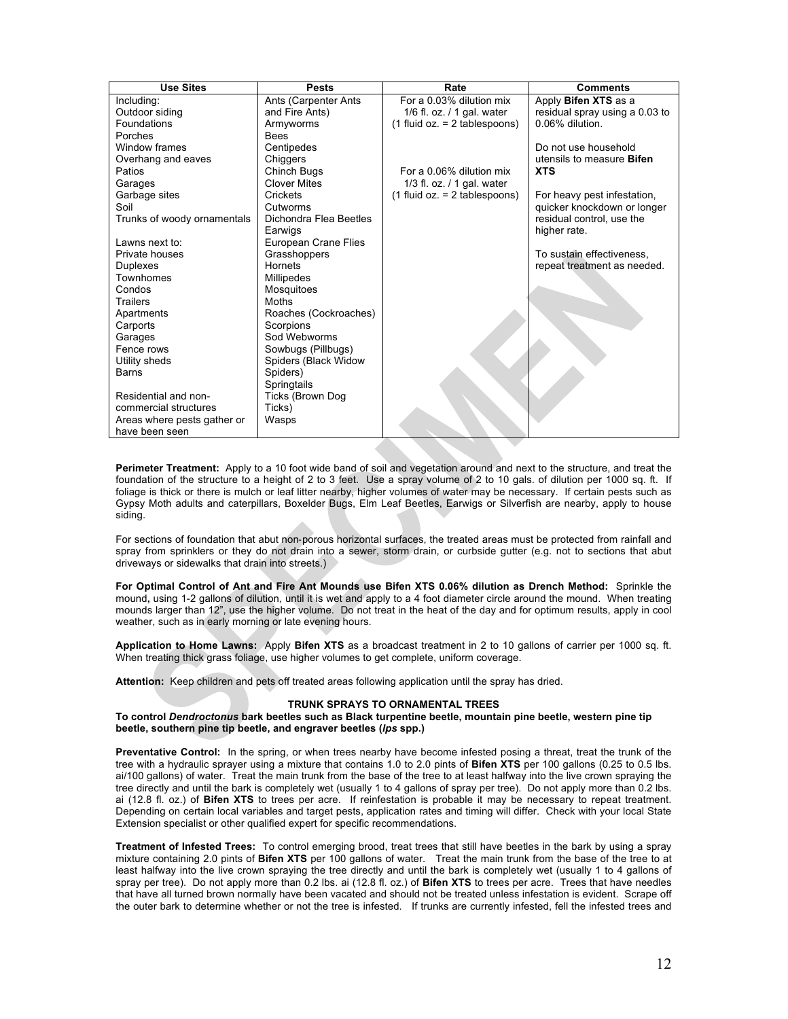| <b>Use Sites</b>            | <b>Pests</b>            | Rate                            | <b>Comments</b>                  |
|-----------------------------|-------------------------|---------------------------------|----------------------------------|
| Including:                  | Ants (Carpenter Ants    | For a 0.03% dilution mix        | Apply Bifen XTS as a             |
| Outdoor siding              | and Fire Ants)          | $1/6$ fl. oz. / 1 gal. water    | residual spray using a 0.03 to   |
| Foundations                 | Armyworms               | $(1$ fluid oz. = 2 tablespoons) | 0.06% dilution.                  |
| Porches                     | <b>Bees</b>             |                                 |                                  |
| Window frames               | Centipedes              |                                 | Do not use household             |
| Overhang and eaves          | Chiggers                |                                 | utensils to measure <b>Bifen</b> |
| Patios                      | Chinch Bugs             | For a 0.06% dilution mix        | <b>XTS</b>                       |
| Garages                     | <b>Clover Mites</b>     | 1/3 fl. oz. $/$ 1 gal. water    |                                  |
| Garbage sites               | Crickets                | $(1$ fluid oz. = 2 tablespoons) | For heavy pest infestation,      |
| Soil                        | Cutworms                |                                 | quicker knockdown or longer      |
| Trunks of woody ornamentals | Dichondra Flea Beetles  |                                 | residual control, use the        |
|                             | Earwigs                 |                                 | higher rate.                     |
| Lawns next to:              | European Crane Flies    |                                 |                                  |
| Private houses              | Grasshoppers            |                                 | To sustain effectiveness.        |
| <b>Duplexes</b>             | <b>Hornets</b>          |                                 | repeat treatment as needed.      |
| Townhomes                   | Millipedes              |                                 |                                  |
| Condos                      | Mosquitoes              |                                 |                                  |
| Trailers                    | Moths                   |                                 |                                  |
| Apartments                  | Roaches (Cockroaches)   |                                 |                                  |
| Carports                    | Scorpions               |                                 |                                  |
| Garages                     | Sod Webworms            |                                 |                                  |
| Fence rows                  | Sowbugs (Pillbugs)      |                                 |                                  |
| Utility sheds               | Spiders (Black Widow    |                                 |                                  |
| Barns                       | Spiders)                |                                 |                                  |
|                             | Springtails             |                                 |                                  |
| Residential and non-        | <b>Ticks (Brown Dog</b> |                                 |                                  |
| commercial structures       | Ticks)                  |                                 |                                  |
| Areas where pests gather or | Wasps                   |                                 |                                  |
| have been seen              |                         |                                 |                                  |

**Perimeter Treatment:** Apply to a 10 foot wide band of soil and vegetation around and next to the structure, and treat the foundation of the structure to a height of 2 to 3 feet. Use a spray volume of 2 to 10 gals. of dilution per 1000 sq. ft. If foliage is thick or there is mulch or leaf litter nearby, higher volumes of water may be necessary. If certain pests such as Gypsy Moth adults and caterpillars, Boxelder Bugs, Elm Leaf Beetles, Earwigs or Silverfish are nearby, apply to house siding.

For sections of foundation that abut non-porous horizontal surfaces, the treated areas must be protected from rainfall and spray from sprinklers or they do not drain into a sewer, storm drain, or curbside gutter (e.g. not to sections that abut driveways or sidewalks that drain into streets.)

**For Optimal Control of Ant and Fire Ant Mounds use Bifen XTS 0.06% dilution as Drench Method:** Sprinkle the mound**,** using 1-2 gallons of dilution, until it is wet and apply to a 4 foot diameter circle around the mound. When treating mounds larger than 12", use the higher volume. Do not treat in the heat of the day and for optimum results, apply in cool weather, such as in early morning or late evening hours.

**Application to Home Lawns:** Apply **Bifen XTS** as a broadcast treatment in 2 to 10 gallons of carrier per 1000 sq. ft. When treating thick grass foliage, use higher volumes to get complete, uniform coverage.

**Attention:** Keep children and pets off treated areas following application until the spray has dried.

# **TRUNK SPRAYS TO ORNAMENTAL TREES**

**To control** *Dendroctonus* **bark beetles such as Black turpentine beetle, mountain pine beetle, western pine tip beetle, southern pine tip beetle, and engraver beetles (***lps* **spp.)**

**Preventative Control:** In the spring, or when trees nearby have become infested posing a threat, treat the trunk of the tree with a hydraulic sprayer using a mixture that contains 1.0 to 2.0 pints of **Bifen XTS** per 100 gallons (0.25 to 0.5 lbs. ai/100 gallons) of water. Treat the main trunk from the base of the tree to at least halfway into the live crown spraying the tree directly and until the bark is completely wet (usually 1 to 4 gallons of spray per tree). Do not apply more than 0.2 lbs. ai (12.8 fl. oz.) of **Bifen XTS** to trees per acre. If reinfestation is probable it may be necessary to repeat treatment. Depending on certain local variables and target pests, application rates and timing will differ. Check with your local State Extension specialist or other qualified expert for specific recommendations.

**Treatment of Infested Trees:** To control emerging brood, treat trees that still have beetles in the bark by using a spray mixture containing 2.0 pints of **Bifen XTS** per 100 gallons of water. Treat the main trunk from the base of the tree to at least halfway into the live crown spraying the tree directly and until the bark is completely wet (usually 1 to 4 gallons of spray per tree). Do not apply more than 0.2 lbs. ai (12.8 fl. oz.) of **Bifen XTS** to trees per acre. Trees that have needles that have all turned brown normally have been vacated and should not be treated unless infestation is evident. Scrape off the outer bark to determine whether or not the tree is infested. If trunks are currently infested, fell the infested trees and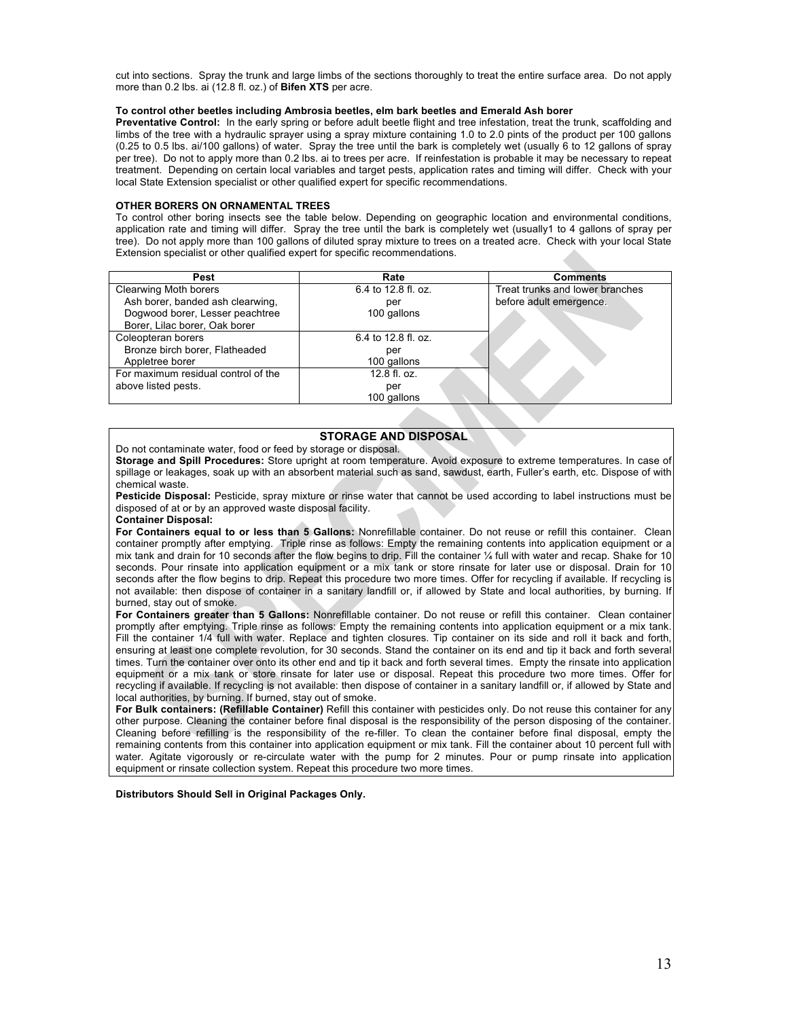cut into sections. Spray the trunk and large limbs of the sections thoroughly to treat the entire surface area. Do not apply more than 0.2 lbs. ai (12.8 fl. oz.) of **Bifen XTS** per acre.

#### **To control other beetles including Ambrosia beetles, elm bark beetles and Emerald Ash borer**

**Preventative Control:** In the early spring or before adult beetle flight and tree infestation, treat the trunk, scaffolding and limbs of the tree with a hydraulic sprayer using a spray mixture containing 1.0 to 2.0 pints of the product per 100 gallons (0.25 to 0.5 lbs. ai/100 gallons) of water. Spray the tree until the bark is completely wet (usually 6 to 12 gallons of spray per tree). Do not to apply more than 0.2 lbs. ai to trees per acre. If reinfestation is probable it may be necessary to repeat treatment. Depending on certain local variables and target pests, application rates and timing will differ. Check with your local State Extension specialist or other qualified expert for specific recommendations.

# **OTHER BORERS ON ORNAMENTAL TREES**

To control other boring insects see the table below. Depending on geographic location and environmental conditions, application rate and timing will differ. Spray the tree until the bark is completely wet (usually1 to 4 gallons of spray per tree). Do not apply more than 100 gallons of diluted spray mixture to trees on a treated acre. Check with your local State Extension specialist or other qualified expert for specific recommendations.

| Pest                                | Rate                | <b>Comments</b>                 |
|-------------------------------------|---------------------|---------------------------------|
| Clearwing Moth borers               | 6.4 to 12.8 fl. oz. | Treat trunks and lower branches |
| Ash borer, banded ash clearwing,    | per                 | before adult emergence.         |
| Dogwood borer, Lesser peachtree     | 100 gallons         |                                 |
| Borer, Lilac borer, Oak borer       |                     |                                 |
| Coleopteran borers                  | 6.4 to 12.8 fl. oz. |                                 |
| Bronze birch borer, Flatheaded      | per                 |                                 |
| Appletree borer                     | 100 gallons         |                                 |
| For maximum residual control of the | 12.8 fl. oz.        |                                 |
| above listed pests.                 | per                 |                                 |
|                                     | 100 gallons         |                                 |

# **STORAGE AND DISPOSAL**

Do not contaminate water, food or feed by storage or disposal.

**Storage and Spill Procedures:** Store upright at room temperature. Avoid exposure to extreme temperatures. In case of spillage or leakages, soak up with an absorbent material such as sand, sawdust, earth, Fuller's earth, etc. Dispose of with chemical waste.

**Pesticide Disposal:** Pesticide, spray mixture or rinse water that cannot be used according to label instructions must be disposed of at or by an approved waste disposal facility.

#### **Container Disposal:**

**For Containers equal to or less than 5 Gallons:** Nonrefillable container. Do not reuse or refill this container. Clean container promptly after emptying. Triple rinse as follows: Empty the remaining contents into application equipment or a mix tank and drain for 10 seconds after the flow begins to drip. Fill the container ¼ full with water and recap. Shake for 10 seconds. Pour rinsate into application equipment or a mix tank or store rinsate for later use or disposal. Drain for 10 seconds after the flow begins to drip. Repeat this procedure two more times. Offer for recycling if available. If recycling is not available: then dispose of container in a sanitary landfill or, if allowed by State and local authorities, by burning. If burned, stay out of smoke.

**For Containers greater than 5 Gallons:** Nonrefillable container. Do not reuse or refill this container. Clean container promptly after emptying. Triple rinse as follows: Empty the remaining contents into application equipment or a mix tank. Fill the container 1/4 full with water. Replace and tighten closures. Tip container on its side and roll it back and forth, ensuring at least one complete revolution, for 30 seconds. Stand the container on its end and tip it back and forth several times. Turn the container over onto its other end and tip it back and forth several times. Empty the rinsate into application equipment or a mix tank or store rinsate for later use or disposal. Repeat this procedure two more times. Offer for recycling if available. If recycling is not available: then dispose of container in a sanitary landfill or, if allowed by State and local authorities, by burning. If burned, stay out of smoke.

**For Bulk containers: (Refillable Container)** Refill this container with pesticides only. Do not reuse this container for any other purpose*.* Cleaning the container before final disposal is the responsibility of the person disposing of the container. Cleaning before refilling is the responsibility of the re-filler. To clean the container before final disposal, empty the remaining contents from this container into application equipment or mix tank. Fill the container about 10 percent full with water. Agitate vigorously or re-circulate water with the pump for 2 minutes. Pour or pump rinsate into application equipment or rinsate collection system. Repeat this procedure two more times.

**Distributors Should Sell in Original Packages Only.**